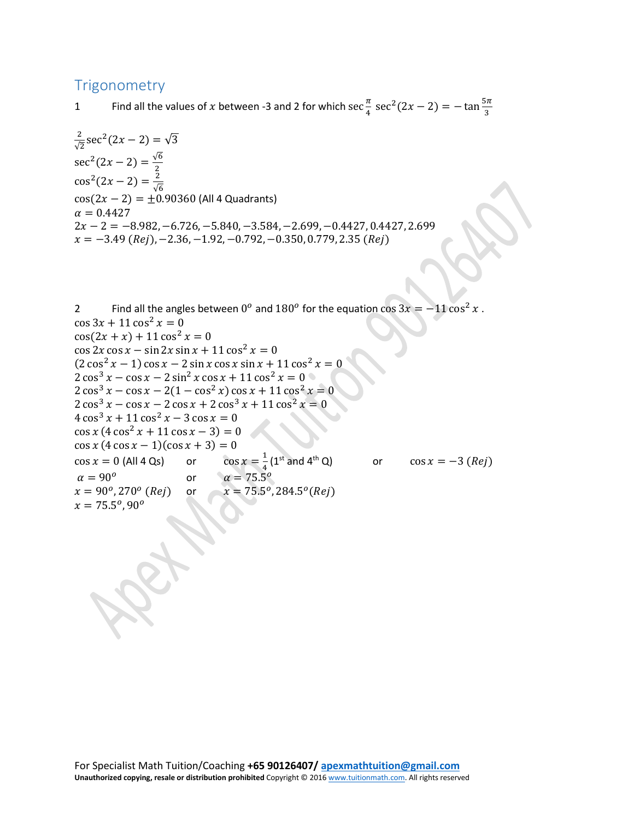## **Trigonometry**

1 Find all the values of x between -3 and 2 for which  $\sec \frac{\pi}{4} \sec^2(2x - 2) = -\tan \frac{5\pi}{3}$ 

 $\frac{2}{\sqrt{2}}$ sec<sup>2</sup>(2x – 2) =  $\sqrt{3}$ √2 sec<sup>2</sup>(2x – 2) =  $\frac{\sqrt{6}}{2}$ <br>cos<sup>2</sup>(2x – 2) =  $\frac{2}{\sqrt{6}}$  $cos(2x - 2) = \pm 0.90360$  (All 4 Quadrants)  $\alpha = 0.4427$  $2x - 2 = -8.982, -6.726, -5.840, -3.584, -2.699, -0.4427, 0.4427, 2.699$  $x = -3.49$  (Rej),  $-2.36$ ,  $-1.92$ ,  $-0.792$ ,  $-0.350$ , 0.779, 2.35 (Rej)

2 Find all the angles between  $0^{\circ}$  and  $180^{\circ}$  for the equation cos  $3x = -11\cos^2 x$ .  $\cos 3x + 11 \cos^2 x = 0$  $\cos(2x + x) + 11 \cos^2 x = 0$  $\cos 2x \cos x - \sin 2x \sin x + 11 \cos^2 x = 0$  $(2 \cos^2 x - 1) \cos x - 2 \sin x \cos x \sin x + 11 \cos^2 x = 0$  $2 \cos^3 x - \cos x - 2 \sin^2 x \cos x + 11 \cos^2 x = 0$  $2\cos^3 x - \cos x - 2(1 - \cos^2 x) \cos x + 11 \cos^2 x = 0$  $2\cos^3 x - \cos x - 2\cos x + 2\cos^3 x + 11\cos^2 x = 0$  $4\cos^3 x + 11\cos^2 x - 3\cos x = 0$  $\cos x (4 \cos^2 x + 11 \cos x - 3) = 0$  $\cos x (4 \cos x - 1)(\cos x + 3) = 0$  $\cos x = 0$  (All 4 Qs) or  $\cos x = \frac{1}{4} (1^{st} \text{ and } 4^{th} \text{ Q})$  or  $\cos x = -3 \text{ (}Rej\text{)}$  $\alpha = 90^{\circ}$  or  $\alpha = 75.5^{\circ}$ <br>  $x = 90^{\circ}, 270^{\circ}$  (*Rej*) or  $x = 75.5^{\circ}$ or  $x = 75.5^{\circ}, 284.5^{\circ}$  (*Rej*)  $x = 75.5^{\circ}, 90^{\circ}$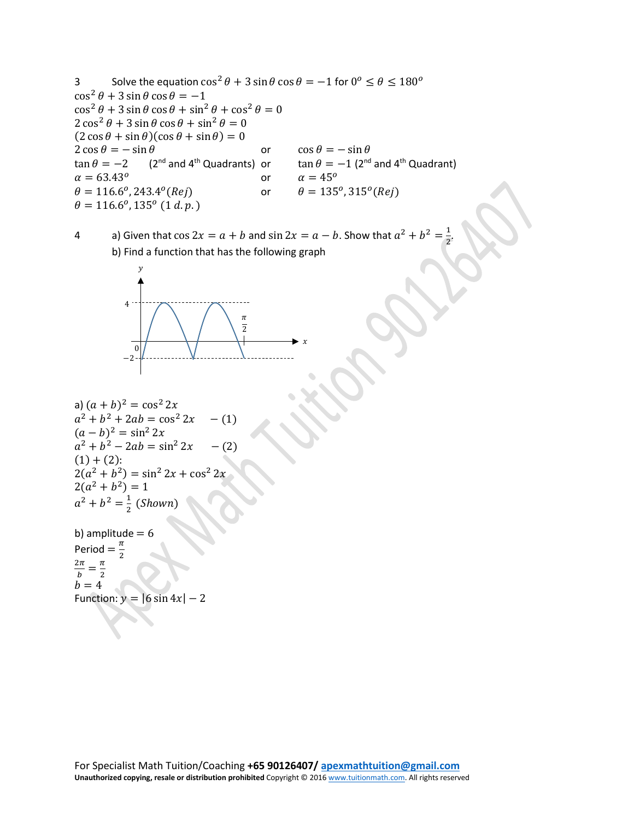3 Solve the equation  $\cos^2 \theta + 3 \sin \theta \cos \theta = -1$  for  $0^\circ \le \theta \le 180^\circ$  $\cos^2 \theta + 3 \sin \theta \cos \theta = -1$  $\cos^2 \theta + 3 \sin \theta \cos \theta + \sin^2 \theta + \cos^2 \theta = 0$  $2 \cos^2 \theta + 3 \sin \theta \cos \theta + \sin^2 \theta = 0$  $(2 \cos \theta + \sin \theta)(\cos \theta + \sin \theta) = 0$  $2 \cos \theta = -\sin \theta$  or  $\cos \theta = -\sin \theta$ <br>  $\tan \theta = -2$  (2<sup>nd</sup> and 4<sup>th</sup> Quadrants) or  $\tan \theta = -1$  (2<sup>nd</sup>) or  $\tan \theta = -1$  (2<sup>nd</sup> and 4<sup>th</sup> Quadrant)<br>or  $\alpha = 45^{\circ}$  $\alpha = 63.43^{\circ}$ <br>  $\theta = 116.6^{\circ}, 243.4^{\circ}$  (*Rej*) or  $\alpha = 45^{\circ}$ <br>
or  $\theta = 135^{\circ}, 315^{\circ}$  (*Rej*)  $\theta = 116.6^{\circ}, 243.4^{\circ}$  (Rej)  $\theta = 116.6^{\circ}, 135^{\circ}$  (1 d. p.)

4 a) Given that  $\cos 2x = a + b$  and  $\sin 2x = a - b$ . Show that  $a^2 + b^2 = 1$ b) Find a function that has the following graph

2 .



```
a) (a + b)^2 = \cos^2 2xa^2 + b^2 + 2ab = \cos^2 2x \quad -1(a - b)^2 = \sin^2 2xa^2 + b^2 - 2ab = \sin^2 2x \quad - (2)(1) + (2):
2(a^2 + b^2) = \sin^2 2x + \cos^2 2x2(a^2 + b^2) = 1a^2 + b^2 = \frac{1}{2} (Shown)
```
b) amplitude  $= 6$ Period  $=\frac{\pi}{2}$  $2\pi$  $\frac{2\pi}{b} = \frac{\pi}{2}$  $\overline{b} = 4$ Function:  $y = |6 \sin 4x| - 2$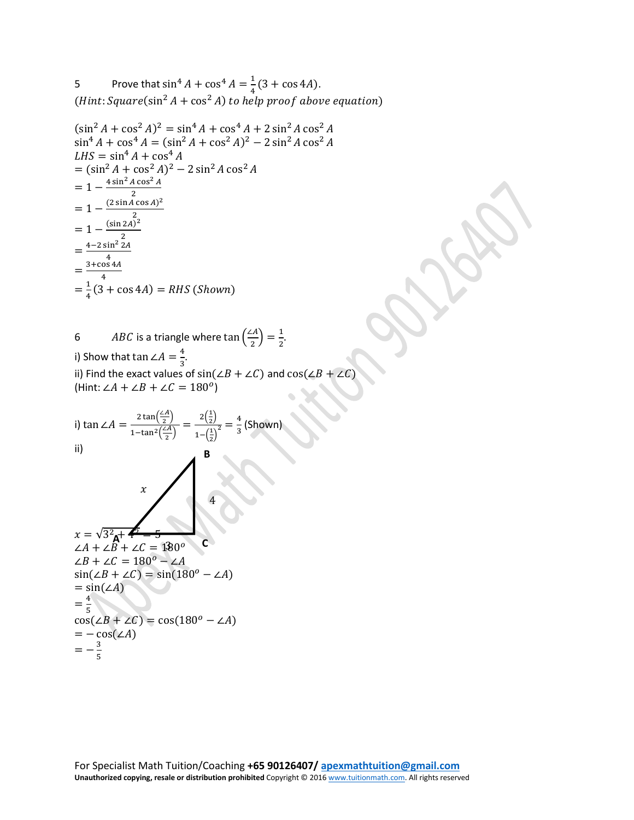5 Prove that  $\sin^4 A + \cos^4 A = \frac{1}{4}(3 + \cos 4A)$ . (Hint: Square( $\sin^2 A + \cos^2 A$ ) to help proof above equation)

$$
(\sin^2 A + \cos^2 A)^2 = \sin^4 A + \cos^4 A + 2 \sin^2 A \cos^2 A
$$
  
\n
$$
\sin^4 A + \cos^4 A = (\sin^2 A + \cos^2 A)^2 - 2 \sin^2 A \cos^2 A
$$
  
\n
$$
LHS = \sin^4 A + \cos^4 A
$$
  
\n
$$
= (\sin^2 A + \cos^2 A)^2 - 2 \sin^2 A \cos^2 A
$$
  
\n
$$
= 1 - \frac{4 \sin^2 A \cos^2 A}{2}
$$
  
\n
$$
= 1 - \frac{(2 \sin A \cos A)^2}{2}
$$
  
\n
$$
= 1 - \frac{(\sin 2A)^2}{2}
$$
  
\n
$$
= \frac{4 - 2 \sin^2 2A}{4}
$$
  
\n
$$
= \frac{4}{4}(3 + \cos 4A) = RHS (Shown)
$$

6 *ABC* is a triangle where  $\tan\left(\frac{2A}{2}\right) = \frac{1}{2}$ . i) Show that  $\tan \angle A = \frac{4}{3}$ . ii) Find the exact values of  $sin(\angle B + \angle C)$  and  $cos(\angle B + \angle C)$ (Hint:  $\angle A + \angle B + \angle C = 180^\circ$ )

i) 
$$
\tan \angle A = \frac{2 \tan(\frac{\angle A}{2})}{1 - \tan^2(\frac{\angle A}{2})} = \frac{2(\frac{1}{2})}{1 - (\frac{1}{2})^2} = \frac{4}{3}
$$
 (shown)  
\nii)  
\n $x$   
\n $x = \sqrt{3^2 + 4^2 + 4^2} = \frac{1}{3}$   
\n $\angle A + \angle B + \angle C = 180^\circ$  C  
\n $\angle B + \angle C = 180^\circ - \angle A$   
\n $\sin(\angle B + \angle C) = \sin(180^\circ - \angle A)$   
\n $= \sin(\angle A)$   
\n $= \frac{4}{5}$   
\n $\cos(\angle B + \angle C) = \cos(180^\circ - \angle A)$   
\n $= -\cos(\angle A)$   
\n $= -\frac{3}{5}$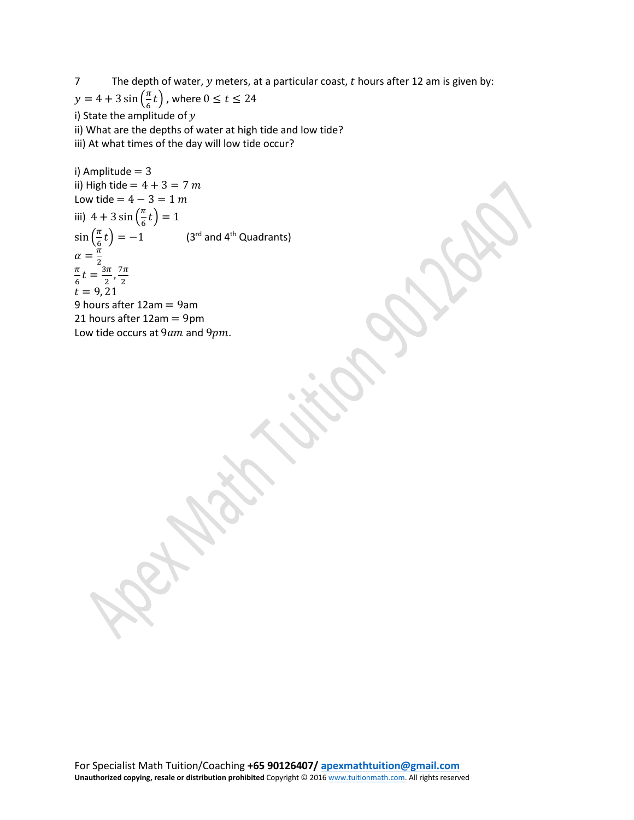7 The depth of water,  $y$  meters, at a particular coast,  $t$  hours after 12 am is given by:  $y = 4 + 3 \sin\left(\frac{\pi}{6}t\right)$  , where  $0 \le t \le 24$ i) State the amplitude of  $y$ 

ii) What are the depths of water at high tide and low tide?

iii) At what times of the day will low tide occur?

i) Amplitude = 3  
\nii) High tide = 
$$
4 + 3 = 7
$$
 m  
\nLow tide =  $4 - 3 = 1$  m  
\niii)  $4 + 3 \sin\left(\frac{\pi}{6}t\right) = 1$   
\n $\sin\left(\frac{\pi}{6}t\right) = -1$  (3<sup>rd</sup> and 4<sup>th</sup> Quadrants)  
\n $\alpha = \frac{\pi}{2}$   
\n $\frac{\pi}{6}t = \frac{3\pi}{2}, \frac{7\pi}{2}$   
\n $t = 9, 21$   
\n9 hours after 12am = 9am  
\n21 hours after 12am = 9pm  
\nLow tide occurs at 9*am* and 9*pm*.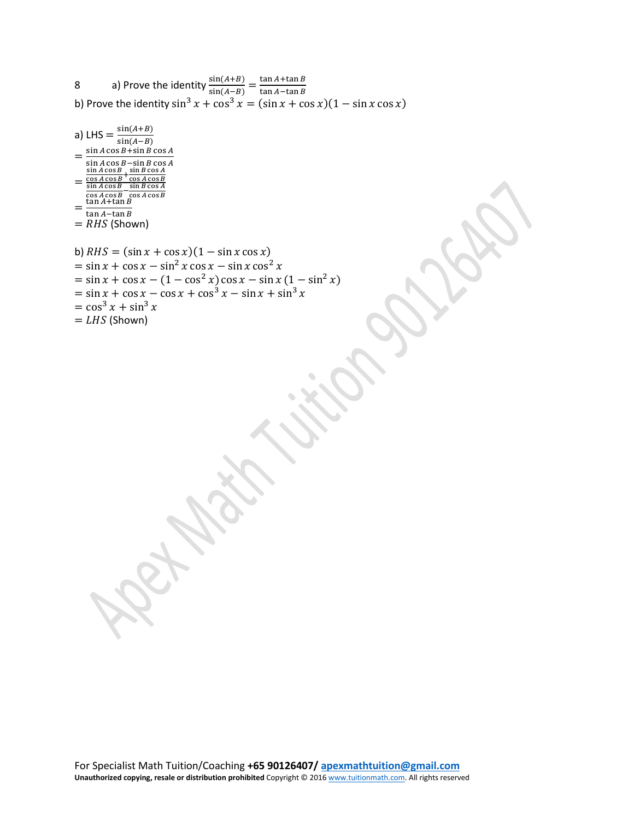8 a) Prove the identity  $\frac{\sin(A+B)}{\sin(A-B)} = \frac{\tan A + \tan B}{\tan A - \tan B}$ b) Prove the identity  $\sin^3 x + \cos^3 x = (\sin x + \cos x)(1 - \sin x \cos x)$ 

a) LHS =  $\frac{\sin(A+B)}{\sin(A+B)}$  $\sin(A-B)$ <br>sin A cos B + sin B cos A  $=\frac{\sin A \cos B + \sin B \cos A}{\sin A \cos B - \sin B \cos A}$ <br>=  $\frac{\cos A \cos B + \cos A \cos B}{\cos A \cos B}$ =  $\frac{\sin A \cos B}{\cos A \cos B}$   $\frac{\sin B \cos A}{\cos A \cos B}$  $=\frac{\tan A + \tan B}{\tan A - \tan B}$ <br>= RHS (Shown)

```
b) RHS = (\sin x + \cos x)(1 - \sin x \cos x)= sin x + \cos x - \sin^2 x \cos x - \sin x \cos^2 x= sin x + cos x – (1 – cos<sup>2</sup> x) cos x – sin x (1 – sin<sup>2</sup> x)
= sin \frac{x}{g} + cos \frac{x}{g} – cos \frac{x}{g} + cos<sup>3</sup> \frac{x}{g} – sin \frac{x}{g} + sin<sup>3</sup> \frac{x}{g}= cos<sup>3</sup> x + sin<sup>3</sup> x= LHS (Shown)
```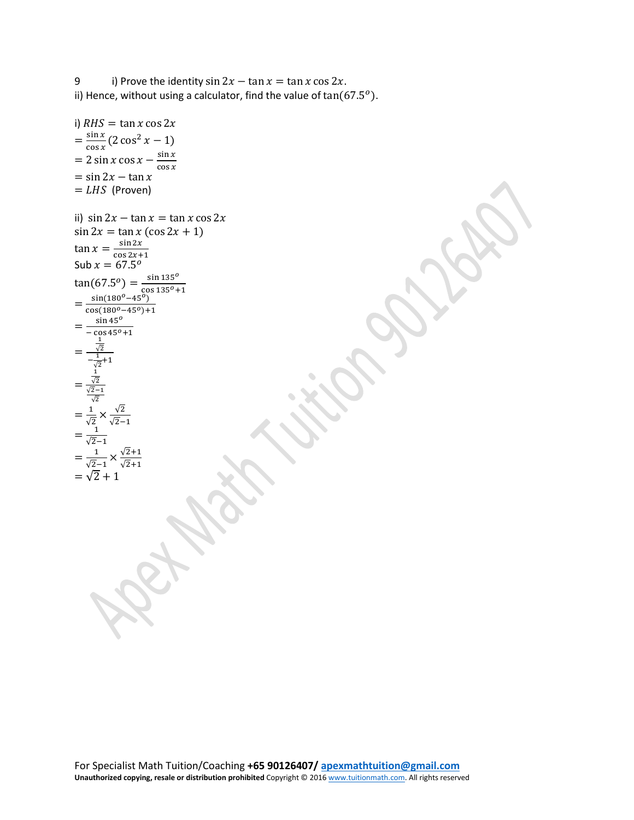9 i) Prove the identity  $\sin 2x - \tan x = \tan x \cos 2x$ . ii) Hence, without using a calculator, find the value of  $tan(67.5^o)$ .

```
i) RHS = \tan x \cos 2x=\frac{\sin x}{\cos x}(2\cos^2 x - 1)= 2 \sin x \cos x - \frac{\sin x}{\cos x}= sin 2x – tan x
= LHS (Proven)
ii) sin 2x - \tan x = \tan x \cos 2x\sin 2x = \tan x (\cos 2x + 1)\tan x = \frac{\sin 2x}{\cos 2x + 1}<br>Sub x = 67.5^{\circ}tan(67.5^o) = \frac{sin 135^o}{ }=\frac{\sin(180^\circ-45^\circ)}{\cos(180^\circ-45^\circ)+1}\frac{\cos(180^o - 45^o) + 1}{\sin 45^o}=\frac{\sin 45^\circ}{-\cos 45^\circ + 1}=
          √2
      -\frac{1}{\sqrt{2}}+1
 =
         1
        √2
      √2−1
        √2
 =\frac{1}{\sqrt{2}} \times \frac{\sqrt{2}}{\sqrt{2}-1}<br>= \frac{1}{\sqrt{2}-1}=\frac{1}{\sqrt{2}-1} \times \frac{\sqrt{2}+1}{\sqrt{2}+1}= \sqrt{2} + 1
```